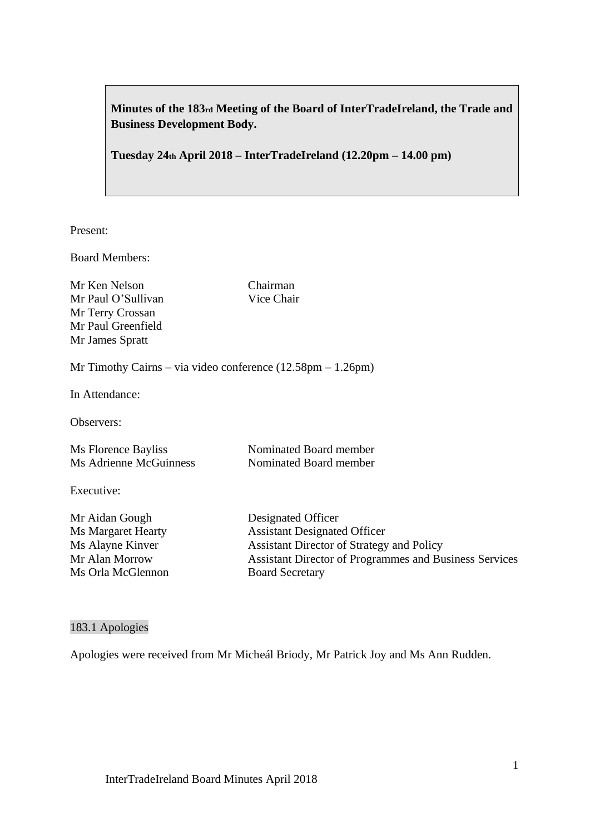**Minutes of the 183rd Meeting of the Board of InterTradeIreland, the Trade and Business Development Body.**

**Tuesday 24th April 2018 – InterTradeIreland (12.20pm – 14.00 pm)**

Present:

Board Members:

Mr Ken Nelson Chairman Mr Paul O'Sullivan Vice Chair Mr Terry Crossan Mr Paul Greenfield Mr James Spratt

Mr Timothy Cairns – via video conference (12.58pm – 1.26pm)

In Attendance:

Observers:

| Ms Florence Bayliss    | Nominated Board member |
|------------------------|------------------------|
| Ms Adrienne McGuinness | Nominated Board member |

Executive:

Mr Aidan Gough Designated Officer Ms Orla McGlennon Board Secretary

Ms Margaret Hearty **Assistant Designated Officer** Ms Alayne Kinver Assistant Director of Strategy and Policy Mr Alan Morrow Assistant Director of Programmes and Business Services

#### 183.1 Apologies

Apologies were received from Mr Micheál Briody, Mr Patrick Joy and Ms Ann Rudden.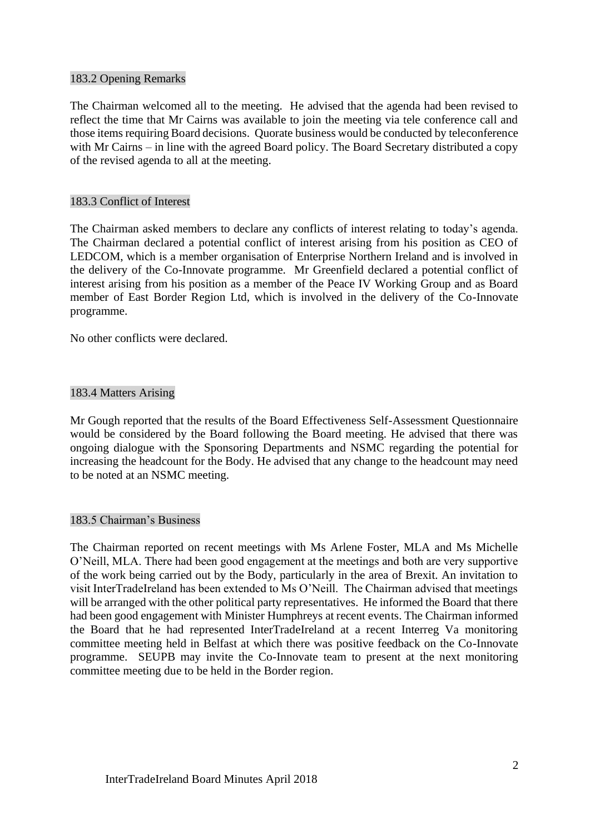### 183.2 Opening Remarks

The Chairman welcomed all to the meeting. He advised that the agenda had been revised to reflect the time that Mr Cairns was available to join the meeting via tele conference call and those items requiring Board decisions. Quorate business would be conducted by teleconference with Mr Cairns – in line with the agreed Board policy. The Board Secretary distributed a copy of the revised agenda to all at the meeting.

#### 183.3 Conflict of Interest

The Chairman asked members to declare any conflicts of interest relating to today's agenda. The Chairman declared a potential conflict of interest arising from his position as CEO of LEDCOM, which is a member organisation of Enterprise Northern Ireland and is involved in the delivery of the Co-Innovate programme. Mr Greenfield declared a potential conflict of interest arising from his position as a member of the Peace IV Working Group and as Board member of East Border Region Ltd, which is involved in the delivery of the Co-Innovate programme.

No other conflicts were declared.

#### 183.4 Matters Arising

Mr Gough reported that the results of the Board Effectiveness Self-Assessment Questionnaire would be considered by the Board following the Board meeting. He advised that there was ongoing dialogue with the Sponsoring Departments and NSMC regarding the potential for increasing the headcount for the Body. He advised that any change to the headcount may need to be noted at an NSMC meeting.

#### 183.5 Chairman's Business

The Chairman reported on recent meetings with Ms Arlene Foster, MLA and Ms Michelle O'Neill, MLA. There had been good engagement at the meetings and both are very supportive of the work being carried out by the Body, particularly in the area of Brexit. An invitation to visit InterTradeIreland has been extended to Ms O'Neill. The Chairman advised that meetings will be arranged with the other political party representatives. He informed the Board that there had been good engagement with Minister Humphreys at recent events. The Chairman informed the Board that he had represented InterTradeIreland at a recent Interreg Va monitoring committee meeting held in Belfast at which there was positive feedback on the Co-Innovate programme. SEUPB may invite the Co-Innovate team to present at the next monitoring committee meeting due to be held in the Border region.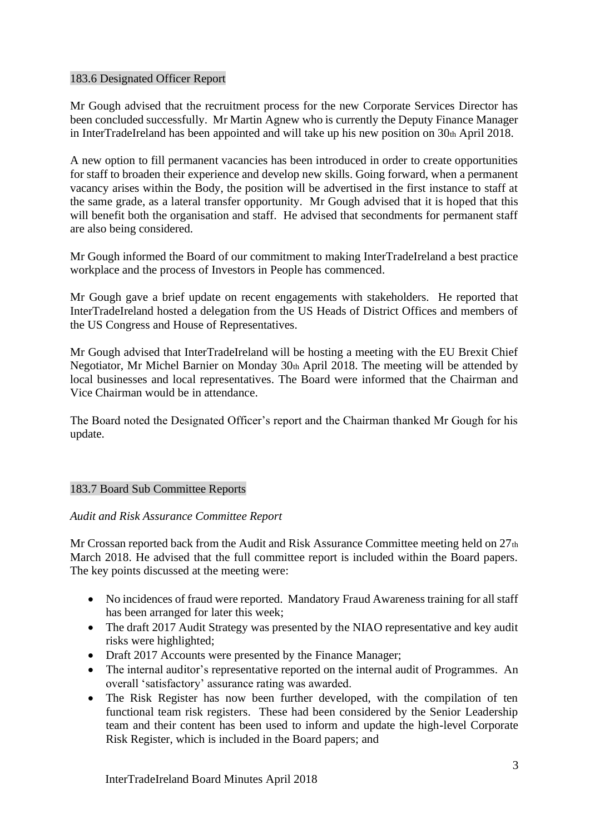### 183.6 Designated Officer Report

Mr Gough advised that the recruitment process for the new Corporate Services Director has been concluded successfully. Mr Martin Agnew who is currently the Deputy Finance Manager in InterTradeIreland has been appointed and will take up his new position on 30th April 2018.

A new option to fill permanent vacancies has been introduced in order to create opportunities for staff to broaden their experience and develop new skills. Going forward, when a permanent vacancy arises within the Body, the position will be advertised in the first instance to staff at the same grade, as a lateral transfer opportunity. Mr Gough advised that it is hoped that this will benefit both the organisation and staff. He advised that secondments for permanent staff are also being considered.

Mr Gough informed the Board of our commitment to making InterTradeIreland a best practice workplace and the process of Investors in People has commenced.

Mr Gough gave a brief update on recent engagements with stakeholders. He reported that InterTradeIreland hosted a delegation from the US Heads of District Offices and members of the US Congress and House of Representatives.

Mr Gough advised that InterTradeIreland will be hosting a meeting with the EU Brexit Chief Negotiator, Mr Michel Barnier on Monday 30th April 2018. The meeting will be attended by local businesses and local representatives. The Board were informed that the Chairman and Vice Chairman would be in attendance.

The Board noted the Designated Officer's report and the Chairman thanked Mr Gough for his update.

### 183.7 Board Sub Committee Reports

### *Audit and Risk Assurance Committee Report*

Mr Crossan reported back from the Audit and Risk Assurance Committee meeting held on 27th March 2018. He advised that the full committee report is included within the Board papers. The key points discussed at the meeting were:

- No incidences of fraud were reported. Mandatory Fraud Awareness training for all staff has been arranged for later this week;
- The draft 2017 Audit Strategy was presented by the NIAO representative and key audit risks were highlighted;
- Draft 2017 Accounts were presented by the Finance Manager;
- The internal auditor's representative reported on the internal audit of Programmes. An overall 'satisfactory' assurance rating was awarded.
- The Risk Register has now been further developed, with the compilation of ten functional team risk registers. These had been considered by the Senior Leadership team and their content has been used to inform and update the high-level Corporate Risk Register, which is included in the Board papers; and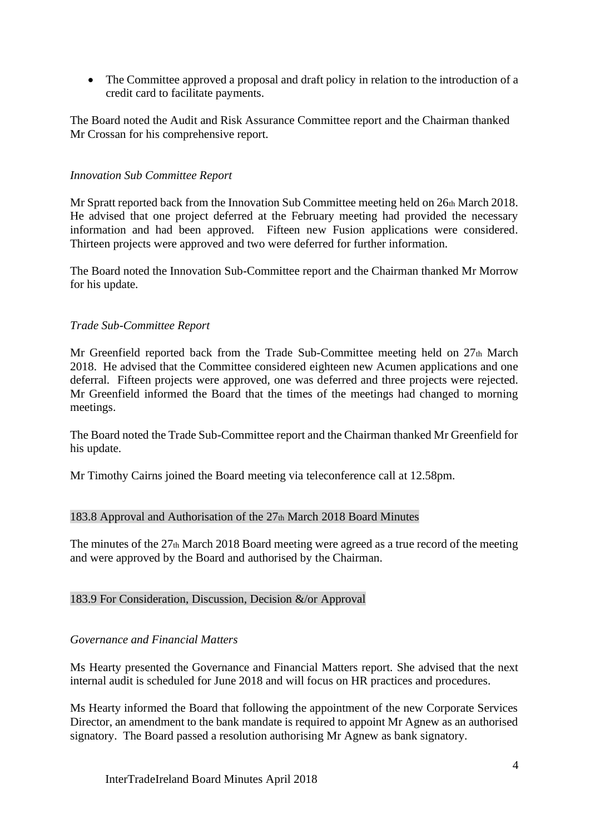• The Committee approved a proposal and draft policy in relation to the introduction of a credit card to facilitate payments.

The Board noted the Audit and Risk Assurance Committee report and the Chairman thanked Mr Crossan for his comprehensive report.

## *Innovation Sub Committee Report*

Mr Spratt reported back from the Innovation Sub Committee meeting held on 26th March 2018. He advised that one project deferred at the February meeting had provided the necessary information and had been approved. Fifteen new Fusion applications were considered. Thirteen projects were approved and two were deferred for further information.

The Board noted the Innovation Sub-Committee report and the Chairman thanked Mr Morrow for his update.

### *Trade Sub-Committee Report*

Mr Greenfield reported back from the Trade Sub-Committee meeting held on  $27<sub>th</sub>$  March 2018. He advised that the Committee considered eighteen new Acumen applications and one deferral. Fifteen projects were approved, one was deferred and three projects were rejected. Mr Greenfield informed the Board that the times of the meetings had changed to morning meetings.

The Board noted the Trade Sub-Committee report and the Chairman thanked Mr Greenfield for his update.

Mr Timothy Cairns joined the Board meeting via teleconference call at 12.58pm.

### 183.8 Approval and Authorisation of the 27th March 2018 Board Minutes

The minutes of the 27th March 2018 Board meeting were agreed as a true record of the meeting and were approved by the Board and authorised by the Chairman.

### 183.9 For Consideration, Discussion, Decision &/or Approval

### *Governance and Financial Matters*

Ms Hearty presented the Governance and Financial Matters report. She advised that the next internal audit is scheduled for June 2018 and will focus on HR practices and procedures.

Ms Hearty informed the Board that following the appointment of the new Corporate Services Director, an amendment to the bank mandate is required to appoint Mr Agnew as an authorised signatory. The Board passed a resolution authorising Mr Agnew as bank signatory.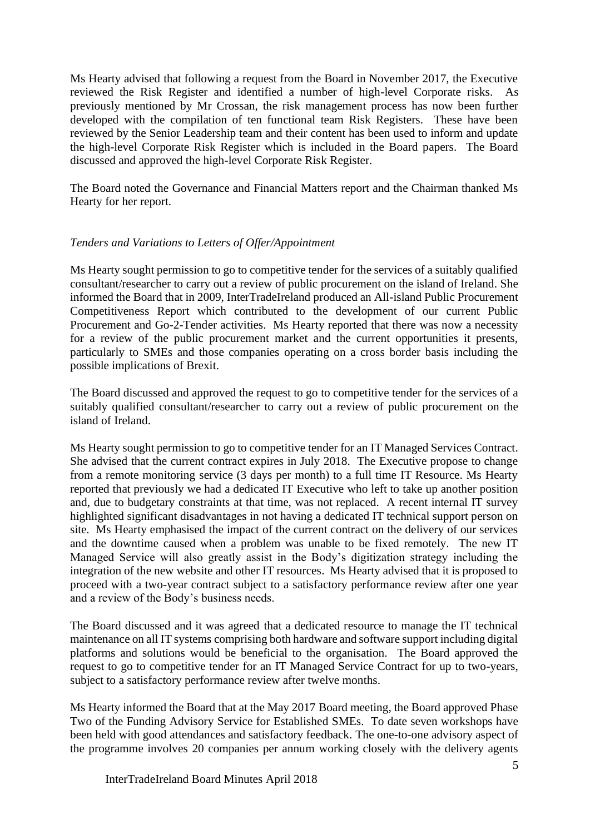Ms Hearty advised that following a request from the Board in November 2017, the Executive reviewed the Risk Register and identified a number of high-level Corporate risks. As previously mentioned by Mr Crossan, the risk management process has now been further developed with the compilation of ten functional team Risk Registers. These have been reviewed by the Senior Leadership team and their content has been used to inform and update the high-level Corporate Risk Register which is included in the Board papers. The Board discussed and approved the high-level Corporate Risk Register.

The Board noted the Governance and Financial Matters report and the Chairman thanked Ms Hearty for her report.

## *Tenders and Variations to Letters of Offer/Appointment*

Ms Hearty sought permission to go to competitive tender for the services of a suitably qualified consultant/researcher to carry out a review of public procurement on the island of Ireland. She informed the Board that in 2009, InterTradeIreland produced an All-island Public Procurement Competitiveness Report which contributed to the development of our current Public Procurement and Go-2-Tender activities. Ms Hearty reported that there was now a necessity for a review of the public procurement market and the current opportunities it presents, particularly to SMEs and those companies operating on a cross border basis including the possible implications of Brexit.

The Board discussed and approved the request to go to competitive tender for the services of a suitably qualified consultant/researcher to carry out a review of public procurement on the island of Ireland.

Ms Hearty sought permission to go to competitive tender for an IT Managed Services Contract. She advised that the current contract expires in July 2018. The Executive propose to change from a remote monitoring service (3 days per month) to a full time IT Resource. Ms Hearty reported that previously we had a dedicated IT Executive who left to take up another position and, due to budgetary constraints at that time, was not replaced. A recent internal IT survey highlighted significant disadvantages in not having a dedicated IT technical support person on site. Ms Hearty emphasised the impact of the current contract on the delivery of our services and the downtime caused when a problem was unable to be fixed remotely. The new IT Managed Service will also greatly assist in the Body's digitization strategy including the integration of the new website and other IT resources. Ms Hearty advised that it is proposed to proceed with a two-year contract subject to a satisfactory performance review after one year and a review of the Body's business needs.

The Board discussed and it was agreed that a dedicated resource to manage the IT technical maintenance on all IT systems comprising both hardware and software support including digital platforms and solutions would be beneficial to the organisation. The Board approved the request to go to competitive tender for an IT Managed Service Contract for up to two-years, subject to a satisfactory performance review after twelve months.

Ms Hearty informed the Board that at the May 2017 Board meeting, the Board approved Phase Two of the Funding Advisory Service for Established SMEs. To date seven workshops have been held with good attendances and satisfactory feedback. The one-to-one advisory aspect of the programme involves 20 companies per annum working closely with the delivery agents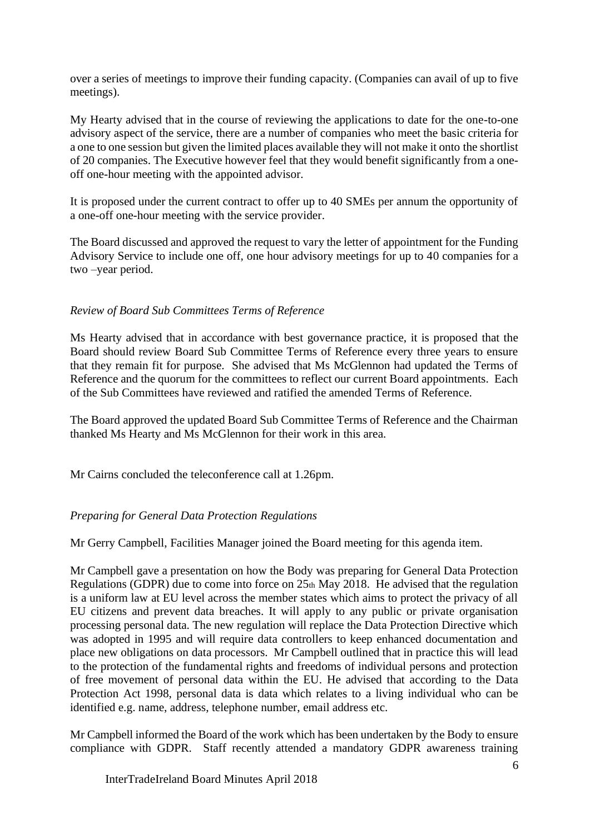over a series of meetings to improve their funding capacity. (Companies can avail of up to five meetings).

My Hearty advised that in the course of reviewing the applications to date for the one-to-one advisory aspect of the service, there are a number of companies who meet the basic criteria for a one to one session but given the limited places available they will not make it onto the shortlist of 20 companies. The Executive however feel that they would benefit significantly from a oneoff one-hour meeting with the appointed advisor.

It is proposed under the current contract to offer up to 40 SMEs per annum the opportunity of a one-off one-hour meeting with the service provider.

The Board discussed and approved the request to vary the letter of appointment for the Funding Advisory Service to include one off, one hour advisory meetings for up to 40 companies for a two –year period.

## *Review of Board Sub Committees Terms of Reference*

Ms Hearty advised that in accordance with best governance practice, it is proposed that the Board should review Board Sub Committee Terms of Reference every three years to ensure that they remain fit for purpose. She advised that Ms McGlennon had updated the Terms of Reference and the quorum for the committees to reflect our current Board appointments. Each of the Sub Committees have reviewed and ratified the amended Terms of Reference.

The Board approved the updated Board Sub Committee Terms of Reference and the Chairman thanked Ms Hearty and Ms McGlennon for their work in this area.

Mr Cairns concluded the teleconference call at 1.26pm.

# *Preparing for General Data Protection Regulations*

Mr Gerry Campbell, Facilities Manager joined the Board meeting for this agenda item.

Mr Campbell gave a presentation on how the Body was preparing for General Data Protection Regulations (GDPR) due to come into force on 25th May 2018. He advised that the regulation is a uniform law at EU level across the member states which aims to protect the privacy of all EU citizens and prevent data breaches. It will apply to any public or private organisation processing personal data. The new regulation will replace the Data Protection Directive which was adopted in 1995 and will require data controllers to keep enhanced documentation and place new obligations on data processors. Mr Campbell outlined that in practice this will lead to the protection of the fundamental rights and freedoms of individual persons and protection of free movement of personal data within the EU. He advised that according to the Data Protection Act 1998, personal data is data which relates to a living individual who can be identified e.g. name, address, telephone number, email address etc.

Mr Campbell informed the Board of the work which has been undertaken by the Body to ensure compliance with GDPR. Staff recently attended a mandatory GDPR awareness training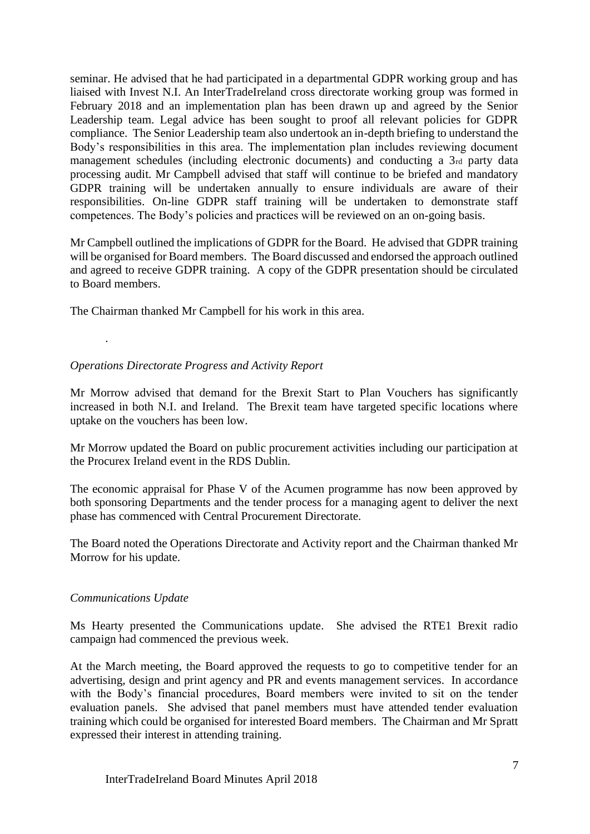seminar. He advised that he had participated in a departmental GDPR working group and has liaised with Invest N.I. An InterTradeIreland cross directorate working group was formed in February 2018 and an implementation plan has been drawn up and agreed by the Senior Leadership team. Legal advice has been sought to proof all relevant policies for GDPR compliance. The Senior Leadership team also undertook an in-depth briefing to understand the Body's responsibilities in this area. The implementation plan includes reviewing document management schedules (including electronic documents) and conducting a 3rd party data processing audit. Mr Campbell advised that staff will continue to be briefed and mandatory GDPR training will be undertaken annually to ensure individuals are aware of their responsibilities. On-line GDPR staff training will be undertaken to demonstrate staff competences. The Body's policies and practices will be reviewed on an on-going basis.

Mr Campbell outlined the implications of GDPR for the Board. He advised that GDPR training will be organised for Board members. The Board discussed and endorsed the approach outlined and agreed to receive GDPR training. A copy of the GDPR presentation should be circulated to Board members.

The Chairman thanked Mr Campbell for his work in this area.

# *Operations Directorate Progress and Activity Report*

Mr Morrow advised that demand for the Brexit Start to Plan Vouchers has significantly increased in both N.I. and Ireland. The Brexit team have targeted specific locations where uptake on the vouchers has been low.

Mr Morrow updated the Board on public procurement activities including our participation at the Procurex Ireland event in the RDS Dublin.

The economic appraisal for Phase V of the Acumen programme has now been approved by both sponsoring Departments and the tender process for a managing agent to deliver the next phase has commenced with Central Procurement Directorate.

The Board noted the Operations Directorate and Activity report and the Chairman thanked Mr Morrow for his update.

# *Communications Update*

.

Ms Hearty presented the Communications update. She advised the RTE1 Brexit radio campaign had commenced the previous week.

At the March meeting, the Board approved the requests to go to competitive tender for an advertising, design and print agency and PR and events management services. In accordance with the Body's financial procedures, Board members were invited to sit on the tender evaluation panels. She advised that panel members must have attended tender evaluation training which could be organised for interested Board members. The Chairman and Mr Spratt expressed their interest in attending training.